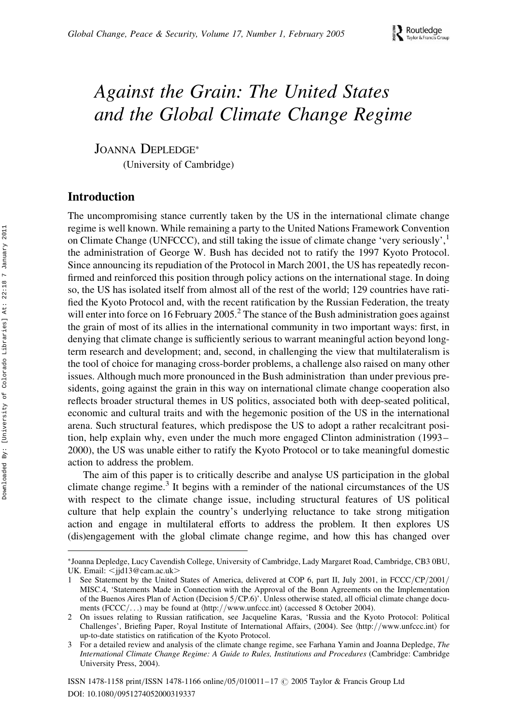# Against the Grain: The United States and the Global Climate Change Regime

JOANNA DEPLEDGE\* (University of Cambridge)

# Introduction

The uncompromising stance currently taken by the US in the international climate change regime is well known. While remaining a party to the United Nations Framework Convention on Climate Change (UNFCCC), and still taking the issue of climate change 'very seriously',<sup>1</sup> the administration of George W. Bush has decided not to ratify the 1997 Kyoto Protocol. Since announcing its repudiation of the Protocol in March 2001, the US has repeatedly reconfirmed and reinforced this position through policy actions on the international stage. In doing so, the US has isolated itself from almost all of the rest of the world; 129 countries have ratified the Kyoto Protocol and, with the recent ratification by the Russian Federation, the treaty will enter into force on 16 February 2005.<sup>2</sup> The stance of the Bush administration goes against the grain of most of its allies in the international community in two important ways: first, in denying that climate change is sufficiently serious to warrant meaningful action beyond longterm research and development; and, second, in challenging the view that multilateralism is the tool of choice for managing cross-border problems, a challenge also raised on many other issues. Although much more pronounced in the Bush administration than under previous presidents, going against the grain in this way on international climate change cooperation also reflects broader structural themes in US politics, associated both with deep-seated political, economic and cultural traits and with the hegemonic position of the US in the international arena. Such structural features, which predispose the US to adopt a rather recalcitrant position, help explain why, even under the much more engaged Clinton administration (1993– 2000), the US was unable either to ratify the Kyoto Protocol or to take meaningful domestic action to address the problem.

The aim of this paper is to critically describe and analyse US participation in the global climate change regime. $3$  It begins with a reminder of the national circumstances of the US with respect to the climate change issue, including structural features of US political culture that help explain the country's underlying reluctance to take strong mitigation action and engage in multilateral efforts to address the problem. It then explores US (dis)engagement with the global climate change regime, and how this has changed over

Joanna Depledge, Lucy Cavendish College, University of Cambridge, Lady Margaret Road, Cambridge, CB3 0BU, UK. Email:  $\leq$ jjd13@cam.ac.uk $>$ 

<sup>1</sup> See Statement by the United States of America, delivered at COP 6, part II, July 2001, in FCCC/CP/2001/ MISC.4, 'Statements Made in Connection with the Approval of the Bonn Agreements on the Implementation of the Buenos Aires Plan of Action (Decision 5/CP.6)'. Unless otherwise stated, all official climate change documents (FCCC/ $\ldots$ ) may be found at  $\langle$ http://www.unfccc.int $\rangle$  (accessed 8 October 2004).

<sup>2</sup> On issues relating to Russian ratification, see Jacqueline Karas, 'Russia and the Kyoto Protocol: Political Challenges', Briefing Paper, Royal Institute of International Affairs, (2004). See  $\langle$ http://www.unfccc.int $\rangle$  for up-to-date statistics on ratification of the Kyoto Protocol.

<sup>3</sup> For a detailed review and analysis of the climate change regime, see Farhana Yamin and Joanna Depledge, The International Climate Change Regime: A Guide to Rules, Institutions and Procedures (Cambridge: Cambridge University Press, 2004).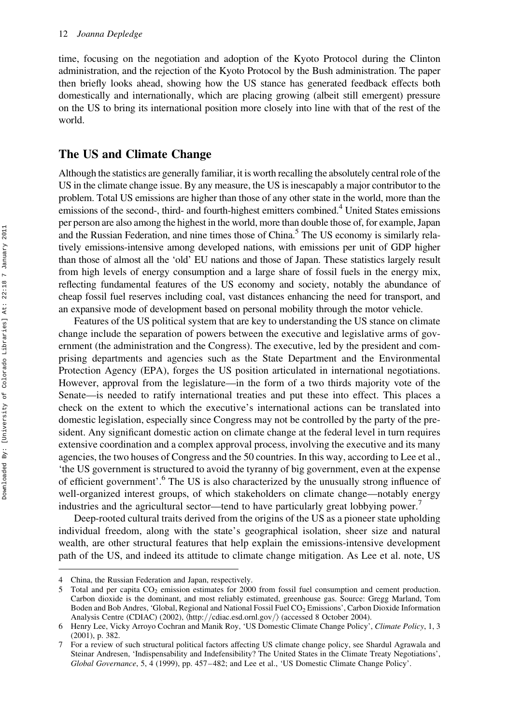time, focusing on the negotiation and adoption of the Kyoto Protocol during the Clinton administration, and the rejection of the Kyoto Protocol by the Bush administration. The paper then briefly looks ahead, showing how the US stance has generated feedback effects both domestically and internationally, which are placing growing (albeit still emergent) pressure on the US to bring its international position more closely into line with that of the rest of the world.

## The US and Climate Change

Although the statistics are generally familiar, it is worth recalling the absolutely central role of the US in the climate change issue. By any measure, the US is inescapably a major contributor to the problem. Total US emissions are higher than those of any other state in the world, more than the emissions of the second-, third- and fourth-highest emitters combined.<sup>4</sup> United States emissions per person are also among the highest in the world, more than double those of, for example, Japan and the Russian Federation, and nine times those of China.<sup>5</sup> The US economy is similarly relatively emissions-intensive among developed nations, with emissions per unit of GDP higher than those of almost all the 'old' EU nations and those of Japan. These statistics largely result from high levels of energy consumption and a large share of fossil fuels in the energy mix, reflecting fundamental features of the US economy and society, notably the abundance of cheap fossil fuel reserves including coal, vast distances enhancing the need for transport, and an expansive mode of development based on personal mobility through the motor vehicle.

Features of the US political system that are key to understanding the US stance on climate change include the separation of powers between the executive and legislative arms of government (the administration and the Congress). The executive, led by the president and comprising departments and agencies such as the State Department and the Environmental Protection Agency (EPA), forges the US position articulated in international negotiations. However, approval from the legislature—in the form of a two thirds majority vote of the Senate—is needed to ratify international treaties and put these into effect. This places a check on the extent to which the executive's international actions can be translated into domestic legislation, especially since Congress may not be controlled by the party of the president. Any significant domestic action on climate change at the federal level in turn requires extensive coordination and a complex approval process, involving the executive and its many agencies, the two houses of Congress and the 50 countries. In this way, according to Lee et al., 'the US government is structured to avoid the tyranny of big government, even at the expense of efficient government'.<sup>6</sup> The US is also characterized by the unusually strong influence of well-organized interest groups, of which stakeholders on climate change—notably energy industries and the agricultural sector—tend to have particularly great lobbying power.<sup>7</sup>

Deep-rooted cultural traits derived from the origins of the US as a pioneer state upholding individual freedom, along with the state's geographical isolation, sheer size and natural wealth, are other structural features that help explain the emissions-intensive development path of the US, and indeed its attitude to climate change mitigation. As Lee et al. note, US

<sup>4</sup> China, the Russian Federation and Japan, respectively.

Total and per capita CO<sub>2</sub> emission estimates for 2000 from fossil fuel consumption and cement production. Carbon dioxide is the dominant, and most reliably estimated, greenhouse gas. Source: Gregg Marland, Tom Boden and Bob Andres, 'Global, Regional and National Fossil Fuel  $CO<sub>2</sub>$  Emissions', Carbon Dioxide Information Analysis Centre (CDIAC) (2002),  $\langle$ http://cdiac.esd.ornl.gov/ $\rangle$  (accessed 8 October 2004).

<sup>6</sup> Henry Lee, Vicky Arroyo Cochran and Manik Roy, 'US Domestic Climate Change Policy', Climate Policy, 1, 3 (2001), p. 382.

<sup>7</sup> For a review of such structural political factors affecting US climate change policy, see Shardul Agrawala and Steinar Andresen, 'Indispensability and Indefensibility? The United States in the Climate Treaty Negotiations', Global Governance, 5, 4 (1999), pp. 457–482; and Lee et al., 'US Domestic Climate Change Policy'.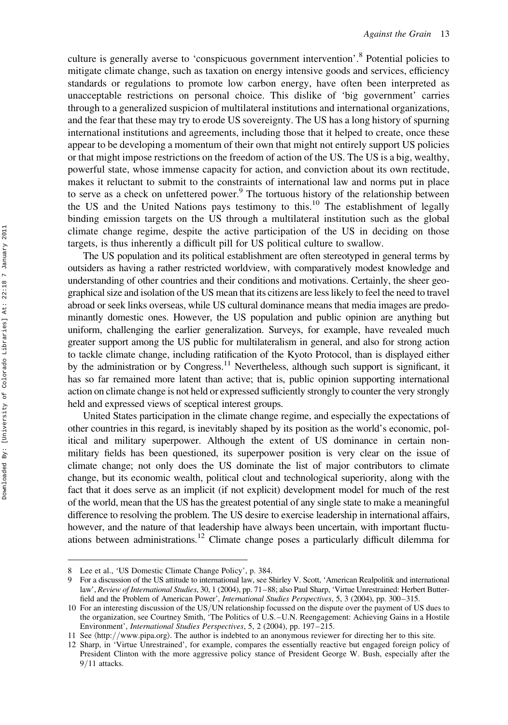culture is generally averse to 'conspicuous government intervention'.<sup>8</sup> Potential policies to mitigate climate change, such as taxation on energy intensive goods and services, efficiency standards or regulations to promote low carbon energy, have often been interpreted as unacceptable restrictions on personal choice. This dislike of 'big government' carries through to a generalized suspicion of multilateral institutions and international organizations, and the fear that these may try to erode US sovereignty. The US has a long history of spurning international institutions and agreements, including those that it helped to create, once these appear to be developing a momentum of their own that might not entirely support US policies or that might impose restrictions on the freedom of action of the US. The US is a big, wealthy, powerful state, whose immense capacity for action, and conviction about its own rectitude, makes it reluctant to submit to the constraints of international law and norms put in place to serve as a check on unfettered power.<sup>9</sup> The tortuous history of the relationship between the US and the United Nations pays testimony to this.<sup>10</sup> The establishment of legally binding emission targets on the US through a multilateral institution such as the global climate change regime, despite the active participation of the US in deciding on those targets, is thus inherently a difficult pill for US political culture to swallow.

The US population and its political establishment are often stereotyped in general terms by outsiders as having a rather restricted worldview, with comparatively modest knowledge and understanding of other countries and their conditions and motivations. Certainly, the sheer geographical size and isolation of the US mean that its citizens are less likely to feel the need to travel abroad or seek links overseas, while US cultural dominance means that media images are predominantly domestic ones. However, the US population and public opinion are anything but uniform, challenging the earlier generalization. Surveys, for example, have revealed much greater support among the US public for multilateralism in general, and also for strong action to tackle climate change, including ratification of the Kyoto Protocol, than is displayed either by the administration or by Congress.<sup>11</sup> Nevertheless, although such support is significant, it has so far remained more latent than active; that is, public opinion supporting international action on climate change is not held or expressed sufficiently strongly to counter the very strongly held and expressed views of sceptical interest groups.

United States participation in the climate change regime, and especially the expectations of other countries in this regard, is inevitably shaped by its position as the world's economic, political and military superpower. Although the extent of US dominance in certain nonmilitary fields has been questioned, its superpower position is very clear on the issue of climate change; not only does the US dominate the list of major contributors to climate change, but its economic wealth, political clout and technological superiority, along with the fact that it does serve as an implicit (if not explicit) development model for much of the rest of the world, mean that the US has the greatest potential of any single state to make a meaningful difference to resolving the problem. The US desire to exercise leadership in international affairs, however, and the nature of that leadership have always been uncertain, with important fluctuations between administrations.12 Climate change poses a particularly difficult dilemma for

<sup>8</sup> Lee et al., 'US Domestic Climate Change Policy', p. 384.

<sup>9</sup> For a discussion of the US attitude to international law, see Shirley V. Scott, 'American Realpolitik and international law', Review of International Studies, 30, 1 (2004), pp. 71–88; also Paul Sharp, 'Virtue Unrestrained: Herbert Butterfield and the Problem of American Power', International Studies Perspectives, 5, 3 (2004), pp. 300–315.

<sup>10</sup> For an interesting discussion of the US/UN relationship focussed on the dispute over the payment of US dues to the organization, see Courtney Smith, 'The Politics of U.S.–U.N. Reengagement: Achieving Gains in a Hostile Environment', International Studies Perspectives, 5, 2 (2004), pp. 197–215.

<sup>11</sup> See khttp://www.pipa.orgl. The author is indebted to an anonymous reviewer for directing her to this site.

<sup>12</sup> Sharp, in 'Virtue Unrestrained', for example, compares the essentially reactive but engaged foreign policy of President Clinton with the more aggressive policy stance of President George W. Bush, especially after the 9/11 attacks.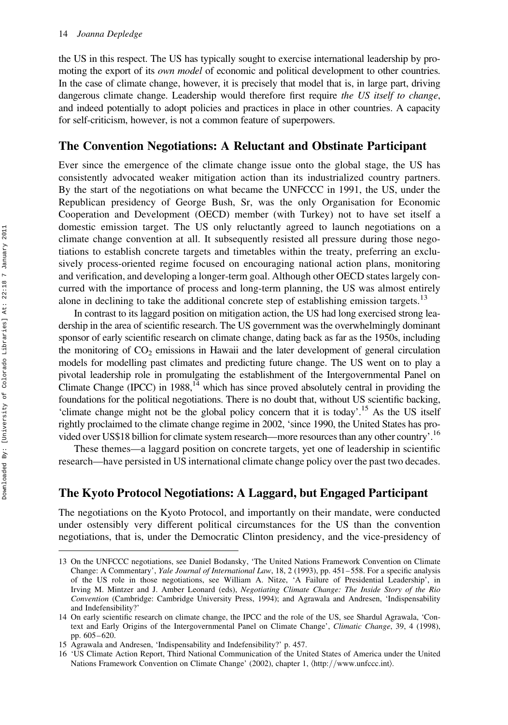the US in this respect. The US has typically sought to exercise international leadership by promoting the export of its *own model* of economic and political development to other countries. In the case of climate change, however, it is precisely that model that is, in large part, driving dangerous climate change. Leadership would therefore first require the US itself to change, and indeed potentially to adopt policies and practices in place in other countries. A capacity for self-criticism, however, is not a common feature of superpowers.

#### The Convention Negotiations: A Reluctant and Obstinate Participant

Ever since the emergence of the climate change issue onto the global stage, the US has consistently advocated weaker mitigation action than its industrialized country partners. By the start of the negotiations on what became the UNFCCC in 1991, the US, under the Republican presidency of George Bush, Sr, was the only Organisation for Economic Cooperation and Development (OECD) member (with Turkey) not to have set itself a domestic emission target. The US only reluctantly agreed to launch negotiations on a climate change convention at all. It subsequently resisted all pressure during those negotiations to establish concrete targets and timetables within the treaty, preferring an exclusively process-oriented regime focused on encouraging national action plans, monitoring and verification, and developing a longer-term goal. Although other OECD states largely concurred with the importance of process and long-term planning, the US was almost entirely alone in declining to take the additional concrete step of establishing emission targets.<sup>13</sup>

In contrast to its laggard position on mitigation action, the US had long exercised strong leadership in the area of scientific research. The US government was the overwhelmingly dominant sponsor of early scientific research on climate change, dating back as far as the 1950s, including the monitoring of  $CO<sub>2</sub>$  emissions in Hawaii and the later development of general circulation models for modelling past climates and predicting future change. The US went on to play a pivotal leadership role in promulgating the establishment of the Intergovernmental Panel on Climate Change (IPCC) in  $1988$ ,<sup>14</sup> which has since proved absolutely central in providing the foundations for the political negotiations. There is no doubt that, without US scientific backing, 'climate change might not be the global policy concern that it is today'.15 As the US itself rightly proclaimed to the climate change regime in 2002, 'since 1990, the United States has provided over US\$18 billion for climate system research—more resources than any other country'.<sup>16</sup>

These themes—a laggard position on concrete targets, yet one of leadership in scientific research—have persisted in US international climate change policy over the past two decades.

# The Kyoto Protocol Negotiations: A Laggard, but Engaged Participant

The negotiations on the Kyoto Protocol, and importantly on their mandate, were conducted under ostensibly very different political circumstances for the US than the convention negotiations, that is, under the Democratic Clinton presidency, and the vice-presidency of

<sup>13</sup> On the UNFCCC negotiations, see Daniel Bodansky, 'The United Nations Framework Convention on Climate Change: A Commentary', Yale Journal of International Law, 18, 2 (1993), pp. 451–558. For a specific analysis of the US role in those negotiations, see William A. Nitze, 'A Failure of Presidential Leadership', in Irving M. Mintzer and J. Amber Leonard (eds), Negotiating Climate Change: The Inside Story of the Rio Convention (Cambridge: Cambridge University Press, 1994); and Agrawala and Andresen, 'Indispensability and Indefensibility?'

<sup>14</sup> On early scientific research on climate change, the IPCC and the role of the US, see Shardul Agrawala, 'Context and Early Origins of the Intergovernmental Panel on Climate Change', Climatic Change, 39, 4 (1998), pp. 605–620.

<sup>15</sup> Agrawala and Andresen, 'Indispensability and Indefensibility?' p. 457.

<sup>16 &#</sup>x27;US Climate Action Report, Third National Communication of the United States of America under the United Nations Framework Convention on Climate Change' (2002), chapter 1,  $\langle \text{http://www.unfccc.int\rangle}$ .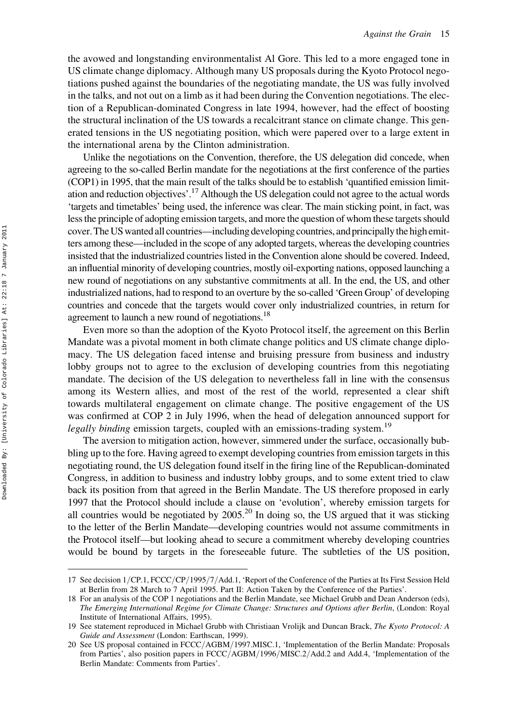the avowed and longstanding environmentalist Al Gore. This led to a more engaged tone in US climate change diplomacy. Although many US proposals during the Kyoto Protocol negotiations pushed against the boundaries of the negotiating mandate, the US was fully involved in the talks, and not out on a limb as it had been during the Convention negotiations. The election of a Republican-dominated Congress in late 1994, however, had the effect of boosting the structural inclination of the US towards a recalcitrant stance on climate change. This generated tensions in the US negotiating position, which were papered over to a large extent in the international arena by the Clinton administration.

Unlike the negotiations on the Convention, therefore, the US delegation did concede, when agreeing to the so-called Berlin mandate for the negotiations at the first conference of the parties (COP1) in 1995, that the main result of the talks should be to establish 'quantified emission limitation and reduction objectives'.<sup>17</sup> Although the US delegation could not agree to the actual words 'targets and timetables' being used, the inference was clear. The main sticking point, in fact, was less the principle of adopting emission targets, and more the question of whom these targets should cover. The US wanted all countries—including developing countries, and principally the high emitters among these—included in the scope of any adopted targets, whereas the developing countries insisted that the industrialized countries listed in the Convention alone should be covered. Indeed, an influential minority of developing countries, mostly oil-exporting nations, opposed launching a new round of negotiations on any substantive commitments at all. In the end, the US, and other industrialized nations, had to respond to an overture by the so-called 'Green Group' of developing countries and concede that the targets would cover only industrialized countries, in return for agreement to launch a new round of negotiations.<sup>18</sup>

Even more so than the adoption of the Kyoto Protocol itself, the agreement on this Berlin Mandate was a pivotal moment in both climate change politics and US climate change diplomacy. The US delegation faced intense and bruising pressure from business and industry lobby groups not to agree to the exclusion of developing countries from this negotiating mandate. The decision of the US delegation to nevertheless fall in line with the consensus among its Western allies, and most of the rest of the world, represented a clear shift towards multilateral engagement on climate change. The positive engagement of the US was confirmed at COP 2 in July 1996, when the head of delegation announced support for legally binding emission targets, coupled with an emissions-trading system.<sup>19</sup>

The aversion to mitigation action, however, simmered under the surface, occasionally bubbling up to the fore. Having agreed to exempt developing countries from emission targets in this negotiating round, the US delegation found itself in the firing line of the Republican-dominated Congress, in addition to business and industry lobby groups, and to some extent tried to claw back its position from that agreed in the Berlin Mandate. The US therefore proposed in early 1997 that the Protocol should include a clause on 'evolution', whereby emission targets for all countries would be negotiated by  $2005<sup>20</sup>$  In doing so, the US argued that it was sticking to the letter of the Berlin Mandate—developing countries would not assume commitments in the Protocol itself—but looking ahead to secure a commitment whereby developing countries would be bound by targets in the foreseeable future. The subtleties of the US position,

<sup>17</sup> See decision 1/CP.1, FCCC/CP/1995/7/Add.1, 'Report of the Conference of the Parties at Its First Session Held at Berlin from 28 March to 7 April 1995. Part II: Action Taken by the Conference of the Parties'.

<sup>18</sup> For an analysis of the COP 1 negotiations and the Berlin Mandate, see Michael Grubb and Dean Anderson (eds), The Emerging International Regime for Climate Change: Structures and Options after Berlin, (London: Royal Institute of International Affairs, 1995).

<sup>19</sup> See statement reproduced in Michael Grubb with Christiaan Vrolijk and Duncan Brack, The Kyoto Protocol: A Guide and Assessment (London: Earthscan, 1999).

<sup>20</sup> See US proposal contained in FCCC/AGBM/1997.MISC.1, 'Implementation of the Berlin Mandate: Proposals from Parties', also position papers in FCCC/AGBM/1996/MISC.2/Add.2 and Add.4, 'Implementation of the Berlin Mandate: Comments from Parties'.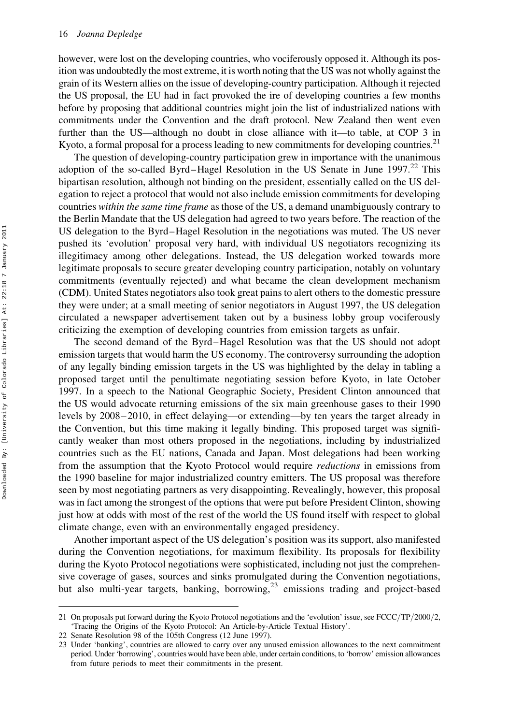however, were lost on the developing countries, who vociferously opposed it. Although its position was undoubtedly the most extreme, it is worth noting that the US was not wholly against the grain of its Western allies on the issue of developing-country participation. Although it rejected the US proposal, the EU had in fact provoked the ire of developing countries a few months before by proposing that additional countries might join the list of industrialized nations with commitments under the Convention and the draft protocol. New Zealand then went even further than the US—although no doubt in close alliance with it—to table, at COP 3 in Kyoto, a formal proposal for a process leading to new commitments for developing countries.<sup>21</sup>

The question of developing-country participation grew in importance with the unanimous adoption of the so-called Byrd–Hagel Resolution in the US Senate in June  $1997.<sup>22</sup>$  This bipartisan resolution, although not binding on the president, essentially called on the US delegation to reject a protocol that would not also include emission commitments for developing countries within the same time frame as those of the US, a demand unambiguously contrary to the Berlin Mandate that the US delegation had agreed to two years before. The reaction of the US delegation to the Byrd–Hagel Resolution in the negotiations was muted. The US never pushed its 'evolution' proposal very hard, with individual US negotiators recognizing its illegitimacy among other delegations. Instead, the US delegation worked towards more legitimate proposals to secure greater developing country participation, notably on voluntary commitments (eventually rejected) and what became the clean development mechanism (CDM). United States negotiators also took great pains to alert others to the domestic pressure they were under; at a small meeting of senior negotiators in August 1997, the US delegation circulated a newspaper advertisement taken out by a business lobby group vociferously criticizing the exemption of developing countries from emission targets as unfair.

The second demand of the Byrd–Hagel Resolution was that the US should not adopt emission targets that would harm the US economy. The controversy surrounding the adoption of any legally binding emission targets in the US was highlighted by the delay in tabling a proposed target until the penultimate negotiating session before Kyoto, in late October 1997. In a speech to the National Geographic Society, President Clinton announced that the US would advocate returning emissions of the six main greenhouse gases to their 1990 levels by 2008–2010, in effect delaying—or extending—by ten years the target already in the Convention, but this time making it legally binding. This proposed target was significantly weaker than most others proposed in the negotiations, including by industrialized countries such as the EU nations, Canada and Japan. Most delegations had been working from the assumption that the Kyoto Protocol would require reductions in emissions from the 1990 baseline for major industrialized country emitters. The US proposal was therefore seen by most negotiating partners as very disappointing. Revealingly, however, this proposal was in fact among the strongest of the options that were put before President Clinton, showing just how at odds with most of the rest of the world the US found itself with respect to global climate change, even with an environmentally engaged presidency.

Another important aspect of the US delegation's position was its support, also manifested during the Convention negotiations, for maximum flexibility. Its proposals for flexibility during the Kyoto Protocol negotiations were sophisticated, including not just the comprehensive coverage of gases, sources and sinks promulgated during the Convention negotiations, but also multi-year targets, banking, borrowing,<sup>23</sup> emissions trading and project-based

<sup>21</sup> On proposals put forward during the Kyoto Protocol negotiations and the 'evolution' issue, see FCCC/TP/2000/2, 'Tracing the Origins of the Kyoto Protocol: An Article-by-Article Textual History'.

<sup>22</sup> Senate Resolution 98 of the 105th Congress (12 June 1997).

<sup>23</sup> Under 'banking', countries are allowed to carry over any unused emission allowances to the next commitment period. Under 'borrowing', countries would have been able, under certain conditions, to 'borrow' emission allowances from future periods to meet their commitments in the present.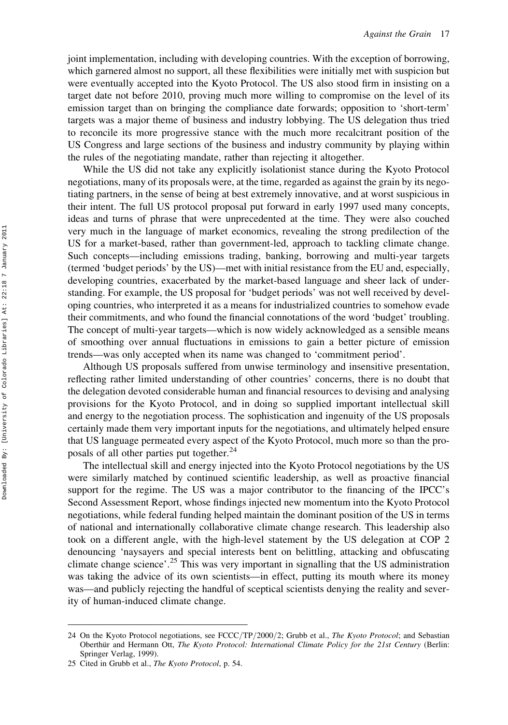joint implementation, including with developing countries. With the exception of borrowing, which garnered almost no support, all these flexibilities were initially met with suspicion but were eventually accepted into the Kyoto Protocol. The US also stood firm in insisting on a target date not before 2010, proving much more willing to compromise on the level of its emission target than on bringing the compliance date forwards; opposition to 'short-term' targets was a major theme of business and industry lobbying. The US delegation thus tried to reconcile its more progressive stance with the much more recalcitrant position of the US Congress and large sections of the business and industry community by playing within the rules of the negotiating mandate, rather than rejecting it altogether.

While the US did not take any explicitly isolationist stance during the Kyoto Protocol negotiations, many of its proposals were, at the time, regarded as against the grain by its negotiating partners, in the sense of being at best extremely innovative, and at worst suspicious in their intent. The full US protocol proposal put forward in early 1997 used many concepts, ideas and turns of phrase that were unprecedented at the time. They were also couched very much in the language of market economics, revealing the strong predilection of the US for a market-based, rather than government-led, approach to tackling climate change. Such concepts—including emissions trading, banking, borrowing and multi-year targets (termed 'budget periods' by the US)—met with initial resistance from the EU and, especially, developing countries, exacerbated by the market-based language and sheer lack of understanding. For example, the US proposal for 'budget periods' was not well received by developing countries, who interpreted it as a means for industrialized countries to somehow evade their commitments, and who found the financial connotations of the word 'budget' troubling. The concept of multi-year targets—which is now widely acknowledged as a sensible means of smoothing over annual fluctuations in emissions to gain a better picture of emission trends—was only accepted when its name was changed to 'commitment period'.

Although US proposals suffered from unwise terminology and insensitive presentation, reflecting rather limited understanding of other countries' concerns, there is no doubt that the delegation devoted considerable human and financial resources to devising and analysing provisions for the Kyoto Protocol, and in doing so supplied important intellectual skill and energy to the negotiation process. The sophistication and ingenuity of the US proposals certainly made them very important inputs for the negotiations, and ultimately helped ensure that US language permeated every aspect of the Kyoto Protocol, much more so than the proposals of all other parties put together.<sup>24</sup>

The intellectual skill and energy injected into the Kyoto Protocol negotiations by the US were similarly matched by continued scientific leadership, as well as proactive financial support for the regime. The US was a major contributor to the financing of the IPCC's Second Assessment Report, whose findings injected new momentum into the Kyoto Protocol negotiations, while federal funding helped maintain the dominant position of the US in terms of national and internationally collaborative climate change research. This leadership also took on a different angle, with the high-level statement by the US delegation at COP 2 denouncing 'naysayers and special interests bent on belittling, attacking and obfuscating climate change science'.<sup>25</sup> This was very important in signalling that the US administration was taking the advice of its own scientists—in effect, putting its mouth where its money was—and publicly rejecting the handful of sceptical scientists denying the reality and severity of human-induced climate change.

<sup>24</sup> On the Kyoto Protocol negotiations, see FCCC/TP/2000/2; Grubb et al., The Kyoto Protocol; and Sebastian Oberthür and Hermann Ott, The Kyoto Protocol: International Climate Policy for the 21st Century (Berlin: Springer Verlag, 1999).

<sup>25</sup> Cited in Grubb et al., The Kyoto Protocol, p. 54.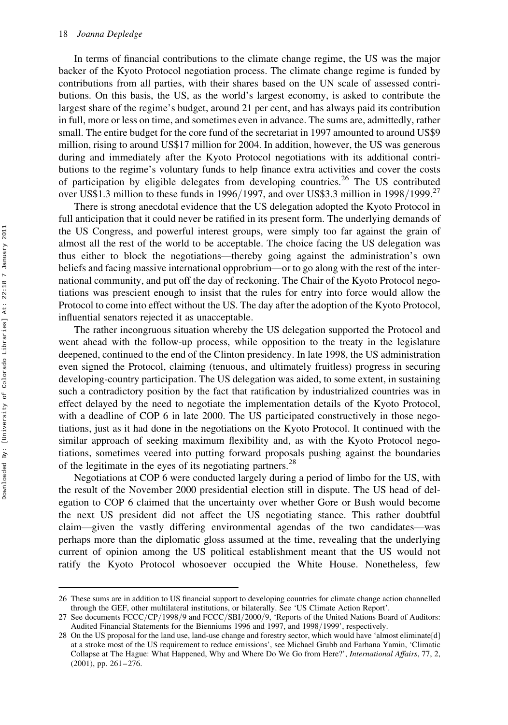In terms of financial contributions to the climate change regime, the US was the major backer of the Kyoto Protocol negotiation process. The climate change regime is funded by contributions from all parties, with their shares based on the UN scale of assessed contributions. On this basis, the US, as the world's largest economy, is asked to contribute the largest share of the regime's budget, around 21 per cent, and has always paid its contribution in full, more or less on time, and sometimes even in advance. The sums are, admittedly, rather small. The entire budget for the core fund of the secretariat in 1997 amounted to around US\$9 million, rising to around US\$17 million for 2004. In addition, however, the US was generous during and immediately after the Kyoto Protocol negotiations with its additional contributions to the regime's voluntary funds to help finance extra activities and cover the costs of participation by eligible delegates from developing countries.<sup>26</sup> The US contributed over US\$1.3 million to these funds in 1996/1997, and over US\$3.3 million in  $1998/1999$ <sup>27</sup>

There is strong anecdotal evidence that the US delegation adopted the Kyoto Protocol in full anticipation that it could never be ratified in its present form. The underlying demands of the US Congress, and powerful interest groups, were simply too far against the grain of almost all the rest of the world to be acceptable. The choice facing the US delegation was thus either to block the negotiations—thereby going against the administration's own beliefs and facing massive international opprobrium—or to go along with the rest of the international community, and put off the day of reckoning. The Chair of the Kyoto Protocol negotiations was prescient enough to insist that the rules for entry into force would allow the Protocol to come into effect without the US. The day after the adoption of the Kyoto Protocol, influential senators rejected it as unacceptable.

The rather incongruous situation whereby the US delegation supported the Protocol and went ahead with the follow-up process, while opposition to the treaty in the legislature deepened, continued to the end of the Clinton presidency. In late 1998, the US administration even signed the Protocol, claiming (tenuous, and ultimately fruitless) progress in securing developing-country participation. The US delegation was aided, to some extent, in sustaining such a contradictory position by the fact that ratification by industrialized countries was in effect delayed by the need to negotiate the implementation details of the Kyoto Protocol, with a deadline of COP 6 in late 2000. The US participated constructively in those negotiations, just as it had done in the negotiations on the Kyoto Protocol. It continued with the similar approach of seeking maximum flexibility and, as with the Kyoto Protocol negotiations, sometimes veered into putting forward proposals pushing against the boundaries of the legitimate in the eyes of its negotiating partners.<sup>28</sup>

Negotiations at COP 6 were conducted largely during a period of limbo for the US, with the result of the November 2000 presidential election still in dispute. The US head of delegation to COP 6 claimed that the uncertainty over whether Gore or Bush would become the next US president did not affect the US negotiating stance. This rather doubtful claim—given the vastly differing environmental agendas of the two candidates—was perhaps more than the diplomatic gloss assumed at the time, revealing that the underlying current of opinion among the US political establishment meant that the US would not ratify the Kyoto Protocol whosoever occupied the White House. Nonetheless, few

<sup>26</sup> These sums are in addition to US financial support to developing countries for climate change action channelled through the GEF, other multilateral institutions, or bilaterally. See 'US Climate Action Report'.

<sup>27</sup> See documents FCCC/CP/1998/9 and FCCC/SBI/2000/9, 'Reports of the United Nations Board of Auditors: Audited Financial Statements for the Bienniums 1996 and 1997, and 1998/1999', respectively.

<sup>28</sup> On the US proposal for the land use, land-use change and forestry sector, which would have 'almost eliminate[d] at a stroke most of the US requirement to reduce emissions', see Michael Grubb and Farhana Yamin, 'Climatic Collapse at The Hague: What Happened, Why and Where Do We Go from Here?', International Affairs, 77, 2, (2001), pp. 261–276.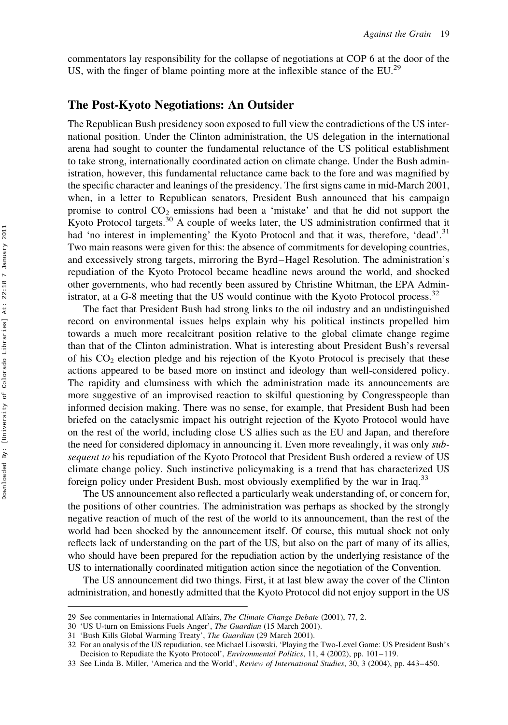commentators lay responsibility for the collapse of negotiations at COP 6 at the door of the US, with the finger of blame pointing more at the inflexible stance of the  $EU^{29}$ 

### The Post-Kyoto Negotiations: An Outsider

The Republican Bush presidency soon exposed to full view the contradictions of the US international position. Under the Clinton administration, the US delegation in the international arena had sought to counter the fundamental reluctance of the US political establishment to take strong, internationally coordinated action on climate change. Under the Bush administration, however, this fundamental reluctance came back to the fore and was magnified by the specific character and leanings of the presidency. The first signs came in mid-March 2001, when, in a letter to Republican senators, President Bush announced that his campaign promise to control  $CO<sub>2</sub>$  emissions had been a 'mistake' and that he did not support the Kyoto Protocol targets.<sup>30</sup> A couple of weeks later, the US administration confirmed that it had 'no interest in implementing' the Kyoto Protocol and that it was, therefore, 'dead'.<sup>31</sup> Two main reasons were given for this: the absence of commitments for developing countries, and excessively strong targets, mirroring the Byrd–Hagel Resolution. The administration's repudiation of the Kyoto Protocol became headline news around the world, and shocked other governments, who had recently been assured by Christine Whitman, the EPA Administrator, at a G-8 meeting that the US would continue with the Kyoto Protocol process. $32$ 

The fact that President Bush had strong links to the oil industry and an undistinguished record on environmental issues helps explain why his political instincts propelled him towards a much more recalcitrant position relative to the global climate change regime than that of the Clinton administration. What is interesting about President Bush's reversal of his  $CO<sub>2</sub>$  election pledge and his rejection of the Kyoto Protocol is precisely that these actions appeared to be based more on instinct and ideology than well-considered policy. The rapidity and clumsiness with which the administration made its announcements are more suggestive of an improvised reaction to skilful questioning by Congresspeople than informed decision making. There was no sense, for example, that President Bush had been briefed on the cataclysmic impact his outright rejection of the Kyoto Protocol would have on the rest of the world, including close US allies such as the EU and Japan, and therefore the need for considered diplomacy in announcing it. Even more revealingly, it was only subsequent to his repudiation of the Kyoto Protocol that President Bush ordered a review of US climate change policy. Such instinctive policymaking is a trend that has characterized US foreign policy under President Bush, most obviously exemplified by the war in Iraq.<sup>33</sup>

The US announcement also reflected a particularly weak understanding of, or concern for, the positions of other countries. The administration was perhaps as shocked by the strongly negative reaction of much of the rest of the world to its announcement, than the rest of the world had been shocked by the announcement itself. Of course, this mutual shock not only reflects lack of understanding on the part of the US, but also on the part of many of its allies, who should have been prepared for the repudiation action by the underlying resistance of the US to internationally coordinated mitigation action since the negotiation of the Convention.

The US announcement did two things. First, it at last blew away the cover of the Clinton administration, and honestly admitted that the Kyoto Protocol did not enjoy support in the US

<sup>29</sup> See commentaries in International Affairs, The Climate Change Debate (2001), 77, 2.

<sup>30 &#</sup>x27;US U-turn on Emissions Fuels Anger', The Guardian (15 March 2001).

<sup>31 &#</sup>x27;Bush Kills Global Warming Treaty', The Guardian (29 March 2001).

<sup>32</sup> For an analysis of the US repudiation, see Michael Lisowski, 'Playing the Two-Level Game: US President Bush's Decision to Repudiate the Kyoto Protocol', Environmental Politics, 11, 4 (2002), pp. 101–119.

<sup>33</sup> See Linda B. Miller, 'America and the World', Review of International Studies, 30, 3 (2004), pp. 443–450.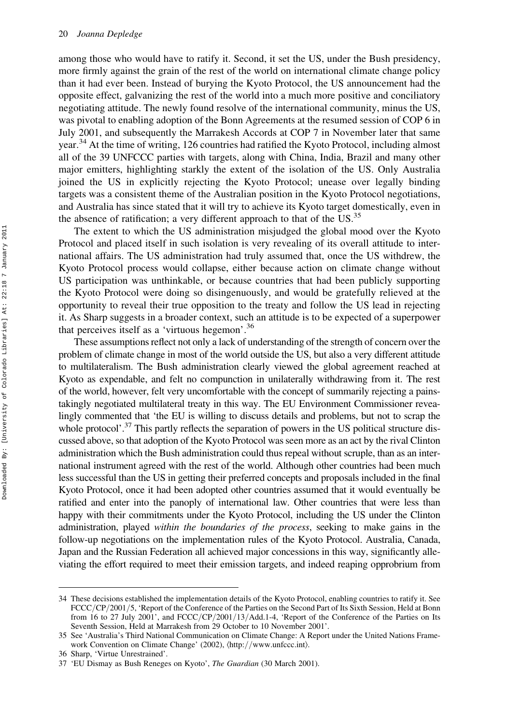among those who would have to ratify it. Second, it set the US, under the Bush presidency, more firmly against the grain of the rest of the world on international climate change policy than it had ever been. Instead of burying the Kyoto Protocol, the US announcement had the opposite effect, galvanizing the rest of the world into a much more positive and conciliatory negotiating attitude. The newly found resolve of the international community, minus the US, was pivotal to enabling adoption of the Bonn Agreements at the resumed session of COP 6 in July 2001, and subsequently the Marrakesh Accords at COP 7 in November later that same year.<sup>34</sup> At the time of writing, 126 countries had ratified the Kyoto Protocol, including almost all of the 39 UNFCCC parties with targets, along with China, India, Brazil and many other major emitters, highlighting starkly the extent of the isolation of the US. Only Australia joined the US in explicitly rejecting the Kyoto Protocol; unease over legally binding targets was a consistent theme of the Australian position in the Kyoto Protocol negotiations, and Australia has since stated that it will try to achieve its Kyoto target domestically, even in the absence of ratification; a very different approach to that of the  $US$ <sup>35</sup>

The extent to which the US administration misjudged the global mood over the Kyoto Protocol and placed itself in such isolation is very revealing of its overall attitude to international affairs. The US administration had truly assumed that, once the US withdrew, the Kyoto Protocol process would collapse, either because action on climate change without US participation was unthinkable, or because countries that had been publicly supporting the Kyoto Protocol were doing so disingenuously, and would be gratefully relieved at the opportunity to reveal their true opposition to the treaty and follow the US lead in rejecting it. As Sharp suggests in a broader context, such an attitude is to be expected of a superpower that perceives itself as a 'virtuous hegemon'.<sup>36</sup>

These assumptions reflect not only a lack of understanding of the strength of concern over the problem of climate change in most of the world outside the US, but also a very different attitude to multilateralism. The Bush administration clearly viewed the global agreement reached at Kyoto as expendable, and felt no compunction in unilaterally withdrawing from it. The rest of the world, however, felt very uncomfortable with the concept of summarily rejecting a painstakingly negotiated multilateral treaty in this way. The EU Environment Commissioner revealingly commented that 'the EU is willing to discuss details and problems, but not to scrap the whole protocol'.<sup>37</sup> This partly reflects the separation of powers in the US political structure discussed above, so that adoption of the Kyoto Protocol was seen more as an act by the rival Clinton administration which the Bush administration could thus repeal without scruple, than as an international instrument agreed with the rest of the world. Although other countries had been much less successful than the US in getting their preferred concepts and proposals included in the final Kyoto Protocol, once it had been adopted other countries assumed that it would eventually be ratified and enter into the panoply of international law. Other countries that were less than happy with their commitments under the Kyoto Protocol, including the US under the Clinton administration, played within the boundaries of the process, seeking to make gains in the follow-up negotiations on the implementation rules of the Kyoto Protocol. Australia, Canada, Japan and the Russian Federation all achieved major concessions in this way, significantly alleviating the effort required to meet their emission targets, and indeed reaping opprobrium from

<sup>34</sup> These decisions established the implementation details of the Kyoto Protocol, enabling countries to ratify it. See FCCC/CP/2001/5, 'Report of the Conference of the Parties on the Second Part of Its Sixth Session, Held at Bonn from 16 to 27 July 2001', and FCCC/CP/2001/13/Add.1-4, 'Report of the Conference of the Parties on Its Seventh Session, Held at Marrakesh from 29 October to 10 November 2001'.

<sup>35</sup> See 'Australia's Third National Communication on Climate Change: A Report under the United Nations Framework Convention on Climate Change' (2002),  $\langle$ http://www.unfccc.int $\rangle$ .

<sup>36</sup> Sharp, 'Virtue Unrestrained'.

<sup>37 &#</sup>x27;EU Dismay as Bush Reneges on Kyoto', The Guardian (30 March 2001).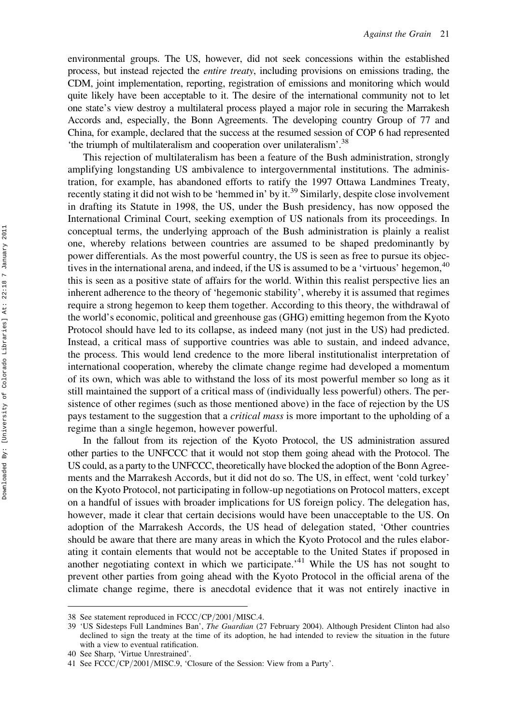environmental groups. The US, however, did not seek concessions within the established process, but instead rejected the entire treaty, including provisions on emissions trading, the CDM, joint implementation, reporting, registration of emissions and monitoring which would quite likely have been acceptable to it. The desire of the international community not to let one state's view destroy a multilateral process played a major role in securing the Marrakesh Accords and, especially, the Bonn Agreements. The developing country Group of 77 and China, for example, declared that the success at the resumed session of COP 6 had represented 'the triumph of multilateralism and cooperation over unilateralism'.<sup>38</sup>

This rejection of multilateralism has been a feature of the Bush administration, strongly amplifying longstanding US ambivalence to intergovernmental institutions. The administration, for example, has abandoned efforts to ratify the 1997 Ottawa Landmines Treaty, recently stating it did not wish to be 'hemmed in' by it.<sup>39</sup> Similarly, despite close involvement in drafting its Statute in 1998, the US, under the Bush presidency, has now opposed the International Criminal Court, seeking exemption of US nationals from its proceedings. In conceptual terms, the underlying approach of the Bush administration is plainly a realist one, whereby relations between countries are assumed to be shaped predominantly by power differentials. As the most powerful country, the US is seen as free to pursue its objectives in the international arena, and indeed, if the US is assumed to be a 'virtuous' hegemon,<sup>40</sup> this is seen as a positive state of affairs for the world. Within this realist perspective lies an inherent adherence to the theory of 'hegemonic stability', whereby it is assumed that regimes require a strong hegemon to keep them together. According to this theory, the withdrawal of the world's economic, political and greenhouse gas (GHG) emitting hegemon from the Kyoto Protocol should have led to its collapse, as indeed many (not just in the US) had predicted. Instead, a critical mass of supportive countries was able to sustain, and indeed advance, the process. This would lend credence to the more liberal institutionalist interpretation of international cooperation, whereby the climate change regime had developed a momentum of its own, which was able to withstand the loss of its most powerful member so long as it still maintained the support of a critical mass of (individually less powerful) others. The persistence of other regimes (such as those mentioned above) in the face of rejection by the US pays testament to the suggestion that a critical mass is more important to the upholding of a regime than a single hegemon, however powerful.

In the fallout from its rejection of the Kyoto Protocol, the US administration assured other parties to the UNFCCC that it would not stop them going ahead with the Protocol. The US could, as a party to the UNFCCC, theoretically have blocked the adoption of the Bonn Agreements and the Marrakesh Accords, but it did not do so. The US, in effect, went 'cold turkey' on the Kyoto Protocol, not participating in follow-up negotiations on Protocol matters, except on a handful of issues with broader implications for US foreign policy. The delegation has, however, made it clear that certain decisions would have been unacceptable to the US. On adoption of the Marrakesh Accords, the US head of delegation stated, 'Other countries should be aware that there are many areas in which the Kyoto Protocol and the rules elaborating it contain elements that would not be acceptable to the United States if proposed in another negotiating context in which we participate.<sup> $41$ </sup> While the US has not sought to prevent other parties from going ahead with the Kyoto Protocol in the official arena of the climate change regime, there is anecdotal evidence that it was not entirely inactive in

<sup>38</sup> See statement reproduced in FCCC/CP/2001/MISC.4.

<sup>39 &#</sup>x27;US Sidesteps Full Landmines Ban', The Guardian (27 February 2004). Although President Clinton had also declined to sign the treaty at the time of its adoption, he had intended to review the situation in the future with a view to eventual ratification.

<sup>40</sup> See Sharp, 'Virtue Unrestrained'.

<sup>41</sup> See FCCC/CP/2001/MISC.9, 'Closure of the Session: View from a Party'.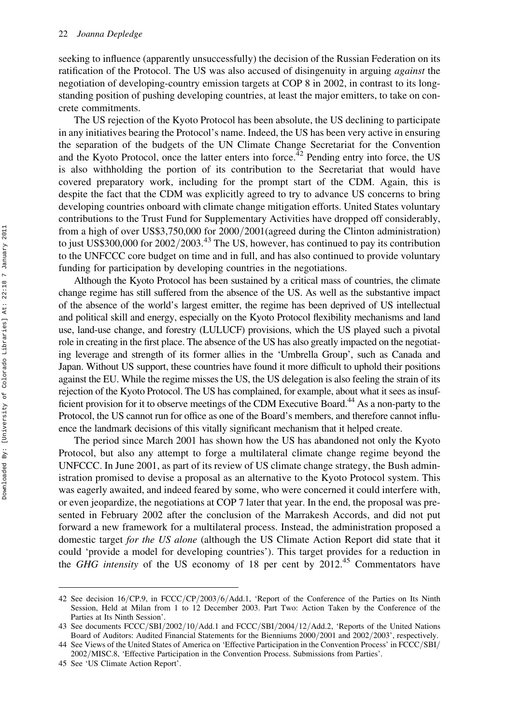seeking to influence (apparently unsuccessfully) the decision of the Russian Federation on its ratification of the Protocol. The US was also accused of disingenuity in arguing *against* the negotiation of developing-country emission targets at COP 8 in 2002, in contrast to its longstanding position of pushing developing countries, at least the major emitters, to take on concrete commitments.

The US rejection of the Kyoto Protocol has been absolute, the US declining to participate in any initiatives bearing the Protocol's name. Indeed, the US has been very active in ensuring the separation of the budgets of the UN Climate Change Secretariat for the Convention and the Kyoto Protocol, once the latter enters into force.<sup> $72$ </sup> Pending entry into force, the US is also withholding the portion of its contribution to the Secretariat that would have covered preparatory work, including for the prompt start of the CDM. Again, this is despite the fact that the CDM was explicitly agreed to try to advance US concerns to bring developing countries onboard with climate change mitigation efforts. United States voluntary contributions to the Trust Fund for Supplementary Activities have dropped off considerably, from a high of over US\$3,750,000 for 2000/2001(agreed during the Clinton administration) to just US\$300,000 for  $2002/2003$ .<sup>43</sup> The US, however, has continued to pay its contribution to the UNFCCC core budget on time and in full, and has also continued to provide voluntary funding for participation by developing countries in the negotiations.

Although the Kyoto Protocol has been sustained by a critical mass of countries, the climate change regime has still suffered from the absence of the US. As well as the substantive impact of the absence of the world's largest emitter, the regime has been deprived of US intellectual and political skill and energy, especially on the Kyoto Protocol flexibility mechanisms and land use, land-use change, and forestry (LULUCF) provisions, which the US played such a pivotal role in creating in the first place. The absence of the US has also greatly impacted on the negotiating leverage and strength of its former allies in the 'Umbrella Group', such as Canada and Japan. Without US support, these countries have found it more difficult to uphold their positions against the EU. While the regime misses the US, the US delegation is also feeling the strain of its rejection of the Kyoto Protocol. The US has complained, for example, about what it sees as insufficient provision for it to observe meetings of the CDM Executive Board.<sup>44</sup> As a non-party to the Protocol, the US cannot run for office as one of the Board's members, and therefore cannot influence the landmark decisions of this vitally significant mechanism that it helped create.

The period since March 2001 has shown how the US has abandoned not only the Kyoto Protocol, but also any attempt to forge a multilateral climate change regime beyond the UNFCCC. In June 2001, as part of its review of US climate change strategy, the Bush administration promised to devise a proposal as an alternative to the Kyoto Protocol system. This was eagerly awaited, and indeed feared by some, who were concerned it could interfere with, or even jeopardize, the negotiations at COP 7 later that year. In the end, the proposal was presented in February 2002 after the conclusion of the Marrakesh Accords, and did not put forward a new framework for a multilateral process. Instead, the administration proposed a domestic target for the US alone (although the US Climate Action Report did state that it could 'provide a model for developing countries'). This target provides for a reduction in the GHG intensity of the US economy of 18 per cent by 2012.<sup>45</sup> Commentators have

<sup>42</sup> See decision 16/CP.9, in FCCC/CP/2003/6/Add.1, 'Report of the Conference of the Parties on Its Ninth Session, Held at Milan from 1 to 12 December 2003. Part Two: Action Taken by the Conference of the Parties at Its Ninth Session'.

<sup>43</sup> See documents FCCC/SBI/2002/10/Add.1 and FCCC/SBI/2004/12/Add.2, 'Reports of the United Nations Board of Auditors: Audited Financial Statements for the Bienniums 2000/2001 and 2002/2003', respectively. 44 See Views of the United States of America on 'Effective Participation in the Convention Process' in FCCC/SBI/

<sup>2002</sup>/MISC.8, 'Effective Participation in the Convention Process. Submissions from Parties'.

<sup>45</sup> See 'US Climate Action Report'.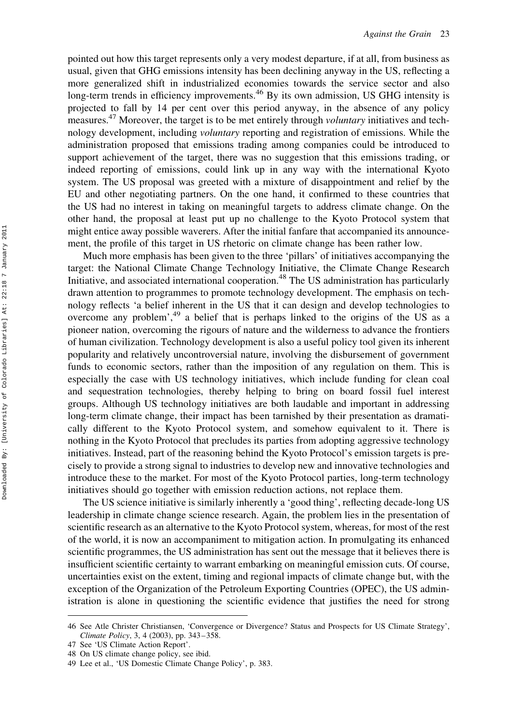pointed out how this target represents only a very modest departure, if at all, from business as usual, given that GHG emissions intensity has been declining anyway in the US, reflecting a more generalized shift in industrialized economies towards the service sector and also long-term trends in efficiency improvements.<sup>46</sup> By its own admission, US GHG intensity is projected to fall by 14 per cent over this period anyway, in the absence of any policy measures.<sup>47</sup> Moreover, the target is to be met entirely through *voluntary* initiatives and technology development, including voluntary reporting and registration of emissions. While the administration proposed that emissions trading among companies could be introduced to support achievement of the target, there was no suggestion that this emissions trading, or indeed reporting of emissions, could link up in any way with the international Kyoto system. The US proposal was greeted with a mixture of disappointment and relief by the EU and other negotiating partners. On the one hand, it confirmed to these countries that the US had no interest in taking on meaningful targets to address climate change. On the other hand, the proposal at least put up no challenge to the Kyoto Protocol system that might entice away possible waverers. After the initial fanfare that accompanied its announcement, the profile of this target in US rhetoric on climate change has been rather low.

Much more emphasis has been given to the three 'pillars' of initiatives accompanying the target: the National Climate Change Technology Initiative, the Climate Change Research Initiative, and associated international cooperation.<sup>48</sup> The US administration has particularly drawn attention to programmes to promote technology development. The emphasis on technology reflects 'a belief inherent in the US that it can design and develop technologies to overcome any problem', $49$  a belief that is perhaps linked to the origins of the US as a pioneer nation, overcoming the rigours of nature and the wilderness to advance the frontiers of human civilization. Technology development is also a useful policy tool given its inherent popularity and relatively uncontroversial nature, involving the disbursement of government funds to economic sectors, rather than the imposition of any regulation on them. This is especially the case with US technology initiatives, which include funding for clean coal and sequestration technologies, thereby helping to bring on board fossil fuel interest groups. Although US technology initiatives are both laudable and important in addressing long-term climate change, their impact has been tarnished by their presentation as dramatically different to the Kyoto Protocol system, and somehow equivalent to it. There is nothing in the Kyoto Protocol that precludes its parties from adopting aggressive technology initiatives. Instead, part of the reasoning behind the Kyoto Protocol's emission targets is precisely to provide a strong signal to industries to develop new and innovative technologies and introduce these to the market. For most of the Kyoto Protocol parties, long-term technology initiatives should go together with emission reduction actions, not replace them.

The US science initiative is similarly inherently a 'good thing', reflecting decade-long US leadership in climate change science research. Again, the problem lies in the presentation of scientific research as an alternative to the Kyoto Protocol system, whereas, for most of the rest of the world, it is now an accompaniment to mitigation action. In promulgating its enhanced scientific programmes, the US administration has sent out the message that it believes there is insufficient scientific certainty to warrant embarking on meaningful emission cuts. Of course, uncertainties exist on the extent, timing and regional impacts of climate change but, with the exception of the Organization of the Petroleum Exporting Countries (OPEC), the US administration is alone in questioning the scientific evidence that justifies the need for strong

<sup>46</sup> See Atle Christer Christiansen, 'Convergence or Divergence? Status and Prospects for US Climate Strategy', Climate Policy, 3, 4 (2003), pp. 343–358.

<sup>47</sup> See 'US Climate Action Report'.

<sup>48</sup> On US climate change policy, see ibid.

<sup>49</sup> Lee et al., 'US Domestic Climate Change Policy', p. 383.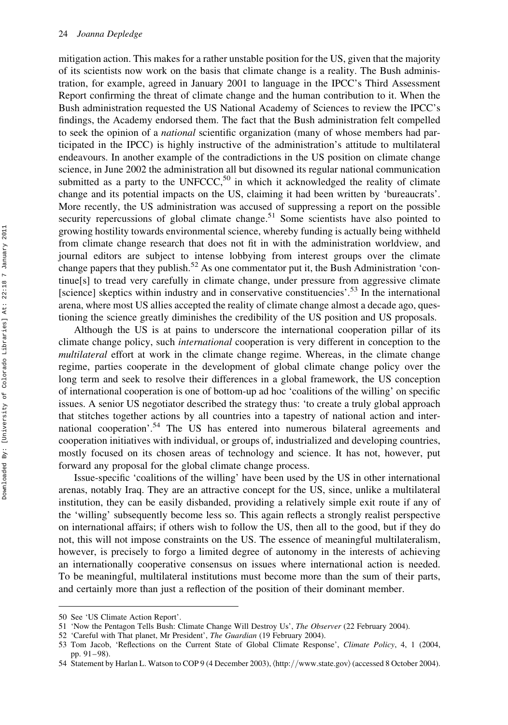mitigation action. This makes for a rather unstable position for the US, given that the majority of its scientists now work on the basis that climate change is a reality. The Bush administration, for example, agreed in January 2001 to language in the IPCC's Third Assessment Report confirming the threat of climate change and the human contribution to it. When the Bush administration requested the US National Academy of Sciences to review the IPCC's findings, the Academy endorsed them. The fact that the Bush administration felt compelled to seek the opinion of a national scientific organization (many of whose members had participated in the IPCC) is highly instructive of the administration's attitude to multilateral endeavours. In another example of the contradictions in the US position on climate change science, in June 2002 the administration all but disowned its regular national communication submitted as a party to the UNFCCC,<sup>50</sup> in which it acknowledged the reality of climate change and its potential impacts on the US, claiming it had been written by 'bureaucrats'. More recently, the US administration was accused of suppressing a report on the possible security repercussions of global climate change.<sup>51</sup> Some scientists have also pointed to growing hostility towards environmental science, whereby funding is actually being withheld from climate change research that does not fit in with the administration worldview, and journal editors are subject to intense lobbying from interest groups over the climate change papers that they publish.<sup>52</sup> As one commentator put it, the Bush Administration 'continue[s] to tread very carefully in climate change, under pressure from aggressive climate [science] skeptics within industry and in conservative constituencies'.<sup>53</sup> In the international arena, where most US allies accepted the reality of climate change almost a decade ago, questioning the science greatly diminishes the credibility of the US position and US proposals.

Although the US is at pains to underscore the international cooperation pillar of its climate change policy, such international cooperation is very different in conception to the multilateral effort at work in the climate change regime. Whereas, in the climate change regime, parties cooperate in the development of global climate change policy over the long term and seek to resolve their differences in a global framework, the US conception of international cooperation is one of bottom-up ad hoc 'coalitions of the willing' on specific issues. A senior US negotiator described the strategy thus: 'to create a truly global approach that stitches together actions by all countries into a tapestry of national action and international cooperation'.<sup>54</sup> The US has entered into numerous bilateral agreements and cooperation initiatives with individual, or groups of, industrialized and developing countries, mostly focused on its chosen areas of technology and science. It has not, however, put forward any proposal for the global climate change process.

Issue-specific 'coalitions of the willing' have been used by the US in other international arenas, notably Iraq. They are an attractive concept for the US, since, unlike a multilateral institution, they can be easily disbanded, providing a relatively simple exit route if any of the 'willing' subsequently become less so. This again reflects a strongly realist perspective on international affairs; if others wish to follow the US, then all to the good, but if they do not, this will not impose constraints on the US. The essence of meaningful multilateralism, however, is precisely to forgo a limited degree of autonomy in the interests of achieving an internationally cooperative consensus on issues where international action is needed. To be meaningful, multilateral institutions must become more than the sum of their parts, and certainly more than just a reflection of the position of their dominant member.

<sup>50</sup> See 'US Climate Action Report'.

<sup>51 &#</sup>x27;Now the Pentagon Tells Bush: Climate Change Will Destroy Us', The Observer (22 February 2004).

<sup>52 &#</sup>x27;Careful with That planet, Mr President', The Guardian (19 February 2004).

<sup>53</sup> Tom Jacob, 'Reflections on the Current State of Global Climate Response', Climate Policy, 4, 1 (2004, pp. 91–98).

<sup>54</sup> Statement by Harlan L. Watson to COP 9 (4 December 2003),  $\frac{http://www.state.gov}{ae.com}$  (accessed 8 October 2004).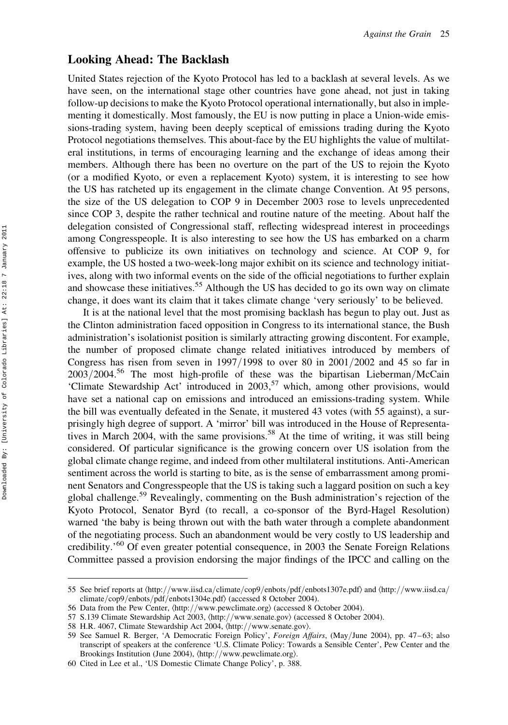#### Looking Ahead: The Backlash

United States rejection of the Kyoto Protocol has led to a backlash at several levels. As we have seen, on the international stage other countries have gone ahead, not just in taking follow-up decisions to make the Kyoto Protocol operational internationally, but also in implementing it domestically. Most famously, the EU is now putting in place a Union-wide emissions-trading system, having been deeply sceptical of emissions trading during the Kyoto Protocol negotiations themselves. This about-face by the EU highlights the value of multilateral institutions, in terms of encouraging learning and the exchange of ideas among their members. Although there has been no overture on the part of the US to rejoin the Kyoto (or a modified Kyoto, or even a replacement Kyoto) system, it is interesting to see how the US has ratcheted up its engagement in the climate change Convention. At 95 persons, the size of the US delegation to COP 9 in December 2003 rose to levels unprecedented since COP 3, despite the rather technical and routine nature of the meeting. About half the delegation consisted of Congressional staff, reflecting widespread interest in proceedings among Congresspeople. It is also interesting to see how the US has embarked on a charm offensive to publicize its own initiatives on technology and science. At COP 9, for example, the US hosted a two-week-long major exhibit on its science and technology initiatives, along with two informal events on the side of the official negotiations to further explain and showcase these initiatives.<sup>55</sup> Although the US has decided to go its own way on climate change, it does want its claim that it takes climate change 'very seriously' to be believed.

It is at the national level that the most promising backlash has begun to play out. Just as the Clinton administration faced opposition in Congress to its international stance, the Bush administration's isolationist position is similarly attracting growing discontent. For example, the number of proposed climate change related initiatives introduced by members of Congress has risen from seven in  $1997/1998$  to over 80 in  $2001/2002$  and 45 so far in 2003/2004.<sup>56</sup> The most high-profile of these was the bipartisan Lieberman/McCain 'Climate Stewardship Act' introduced in 2003,<sup>57</sup> which, among other provisions, would have set a national cap on emissions and introduced an emissions-trading system. While the bill was eventually defeated in the Senate, it mustered 43 votes (with 55 against), a surprisingly high degree of support. A 'mirror' bill was introduced in the House of Representatives in March 2004, with the same provisions.<sup>58</sup> At the time of writing, it was still being considered. Of particular significance is the growing concern over US isolation from the global climate change regime, and indeed from other multilateral institutions. Anti-American sentiment across the world is starting to bite, as is the sense of embarrassment among prominent Senators and Congresspeople that the US is taking such a laggard position on such a key global challenge.<sup>59</sup> Revealingly, commenting on the Bush administration's rejection of the Kyoto Protocol, Senator Byrd (to recall, a co-sponsor of the Byrd-Hagel Resolution) warned 'the baby is being thrown out with the bath water through a complete abandonment of the negotiating process. Such an abandonment would be very costly to US leadership and credibility.'<sup>60</sup> Of even greater potential consequence, in 2003 the Senate Foreign Relations Committee passed a provision endorsing the major findings of the IPCC and calling on the

<sup>55</sup> See brief reports at  $\langle \text{http://www.iisd.ca/climate/cop9/enbots/pdf/enbots1307e.pdf} \rangle$  and  $\langle \text{http://www.iisd.ca/dlimate/cop9/enbots/pdf/enbots1307e.pdf} \rangle$ climate/cop9/enbots/pdf/enbots1304e.pdf) (accessed 8 October 2004).

<sup>56</sup> Data from the Pew Center,  $\langle$ http://www.pewclimate.org $\rangle$  (accessed 8 October 2004).

<sup>57</sup> S.139 Climate Stewardship Act 2003,  $\langle$ http://www.senate.gov) (accessed 8 October 2004).

<sup>58</sup> H.R. 4067, Climate Stewardship Act 2004, (http://www.senate.gov).

<sup>59</sup> See Samuel R. Berger, 'A Democratic Foreign Policy', Foreign Affairs, (May/June 2004), pp. 47–63; also transcript of speakers at the conference 'U.S. Climate Policy: Towards a Sensible Center', Pew Center and the Brookings Institution (June 2004),  $\langle$ http://www.pewclimate.org $\rangle$ .

<sup>60</sup> Cited in Lee et al., 'US Domestic Climate Change Policy', p. 388.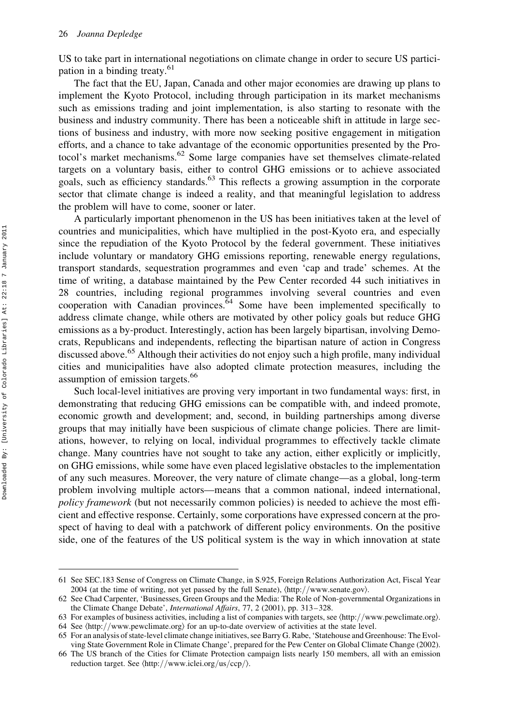US to take part in international negotiations on climate change in order to secure US participation in a binding treaty.<sup>61</sup>

The fact that the EU, Japan, Canada and other major economies are drawing up plans to implement the Kyoto Protocol, including through participation in its market mechanisms such as emissions trading and joint implementation, is also starting to resonate with the business and industry community. There has been a noticeable shift in attitude in large sections of business and industry, with more now seeking positive engagement in mitigation efforts, and a chance to take advantage of the economic opportunities presented by the Protocol's market mechanisms.<sup>62</sup> Some large companies have set themselves climate-related targets on a voluntary basis, either to control GHG emissions or to achieve associated goals, such as efficiency standards.<sup>63</sup> This reflects a growing assumption in the corporate sector that climate change is indeed a reality, and that meaningful legislation to address the problem will have to come, sooner or later.

A particularly important phenomenon in the US has been initiatives taken at the level of countries and municipalities, which have multiplied in the post-Kyoto era, and especially since the repudiation of the Kyoto Protocol by the federal government. These initiatives include voluntary or mandatory GHG emissions reporting, renewable energy regulations, transport standards, sequestration programmes and even 'cap and trade' schemes. At the time of writing, a database maintained by the Pew Center recorded 44 such initiatives in 28 countries, including regional programmes involving several countries and even cooperation with Canadian provinces. $64$  Some have been implemented specifically to address climate change, while others are motivated by other policy goals but reduce GHG emissions as a by-product. Interestingly, action has been largely bipartisan, involving Democrats, Republicans and independents, reflecting the bipartisan nature of action in Congress discussed above.<sup>65</sup> Although their activities do not enjoy such a high profile, many individual cities and municipalities have also adopted climate protection measures, including the assumption of emission targets.<sup>66</sup>

Such local-level initiatives are proving very important in two fundamental ways: first, in demonstrating that reducing GHG emissions can be compatible with, and indeed promote, economic growth and development; and, second, in building partnerships among diverse groups that may initially have been suspicious of climate change policies. There are limitations, however, to relying on local, individual programmes to effectively tackle climate change. Many countries have not sought to take any action, either explicitly or implicitly, on GHG emissions, while some have even placed legislative obstacles to the implementation of any such measures. Moreover, the very nature of climate change—as a global, long-term problem involving multiple actors—means that a common national, indeed international, policy framework (but not necessarily common policies) is needed to achieve the most efficient and effective response. Certainly, some corporations have expressed concern at the prospect of having to deal with a patchwork of different policy environments. On the positive side, one of the features of the US political system is the way in which innovation at state

<sup>61</sup> See SEC.183 Sense of Congress on Climate Change, in S.925, Foreign Relations Authorization Act, Fiscal Year 2004 (at the time of writing, not yet passed by the full Senate),  $\langle \frac{http://www.senate.gov\rangle}{$ .

<sup>62</sup> See Chad Carpenter, 'Businesses, Green Groups and the Media: The Role of Non-governmental Organizations in the Climate Change Debate', International Affairs, 77, 2 (2001), pp. 313–328.

<sup>63</sup> For examples of business activities, including a list of companies with targets, see khttp://www.pewclimate.orgl.

<sup>64</sup> See  $\langle \text{http://www.pewclimate.org} \rangle$  for an up-to-date overview of activities at the state level.

<sup>65</sup> For an analysis of state-level climate change initiatives, see Barry G. Rabe, 'Statehouse and Greenhouse: The Evolving State Government Role in Climate Change', prepared for the Pew Center on Global Climate Change (2002).

<sup>66</sup> The US branch of the Cities for Climate Protection campaign lists nearly 150 members, all with an emission reduction target. See  $\langle \frac{http://www.iclei.org/us/ccp/}{$ .